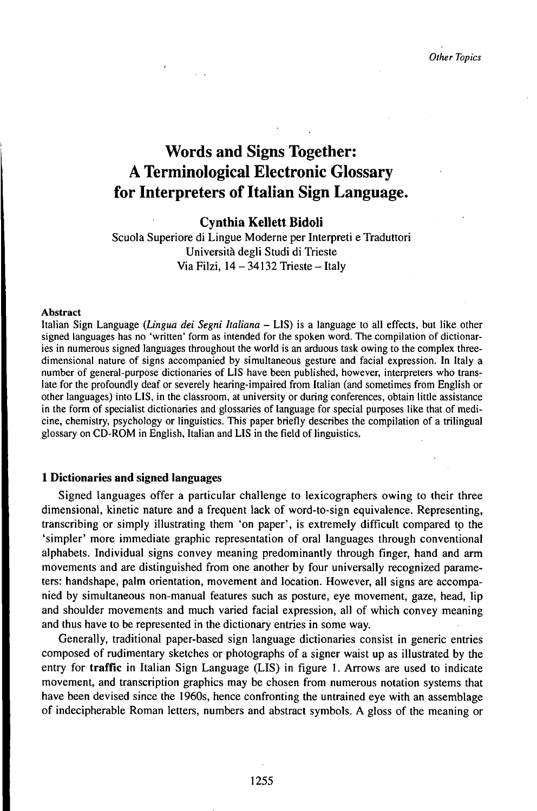# Words and Signs Together: A Terminological Electronic Glossary for Interpreters of Italian Sign Language.

# **Cynthia Kellett Bidoli**

Scuola Superiore di Lingue Moderne per Interpreti e Traduttori Università degli Studi di Trieste Via Filzi,  $14 - 34132$  Trieste - Italy

## Abstract

Italian Sign Language *(Lingua dei Segni Italiana* - LIS) is <sup>a</sup> language to all effects, but like other signed languages has no 'written' form as intended for the spoken word. The compilation of dictionaries in numerous signed languages throughout the world is an arduous task owing to the complex threedimensional nature of signs accompanied by simultaneous gesture and facial expression. In Italy a number of general-purpose dictionaries of LIS have been published, however, interpreters who translate for the profoundly deaf or severely hearing-impaired from Italian (and sometimes from English or other languages) into LIS, in the classroom, at university or during conferences, obtain little assistance in the form of specialist dictionaries and glossaries of language for special purposes like that of medicine, chemistry, psychology or linguistics. This paper briefly describes the compilation of a trilingual glossary on CD-ROM in English, Italian and LIS in the field of linguistics.

## **1 Dictionaries and signed languages**

Signed languages offer a particular challenge to lexicographers owing to their three dimensional, kinetic nature and a frequent lack of word-to-sign equivalence. Representing, transcribing or simply illustrating them 'on paper', is extremely difficult compared to the 'simpler' more immediate graphic representation of oral languages through conventional alphabets. Individual signs convey meaning predominantly through finger, hand and arm movements and are distinguished from one another by four universally recognized parameters: handshape, palm orientation, movement and location. However, all signs are accompanied by simultaneous non-manual features such as posture, eye movement, gaze, head, lip and shoulder movements and much varied facial expression, all of which convey meaning and thus have to be represented in the dictionary entries in some way.

Generally, traditional paper-based sign language dictionaries consist in generic entries composed of rudimentary sketches or photographs of a signer waist up as illustrated by the entry for **traffic** in Italian Sign Language (LIS) in figure 1. Arrows are used to indicate movement, and transcription graphics may be chosen from numerous notation systems that have been devised since the 1960s, hence confronting the untrained eye with an assemblage of indecipherable Roman letters, numbers and abstract symbols. A gloss of the meaning or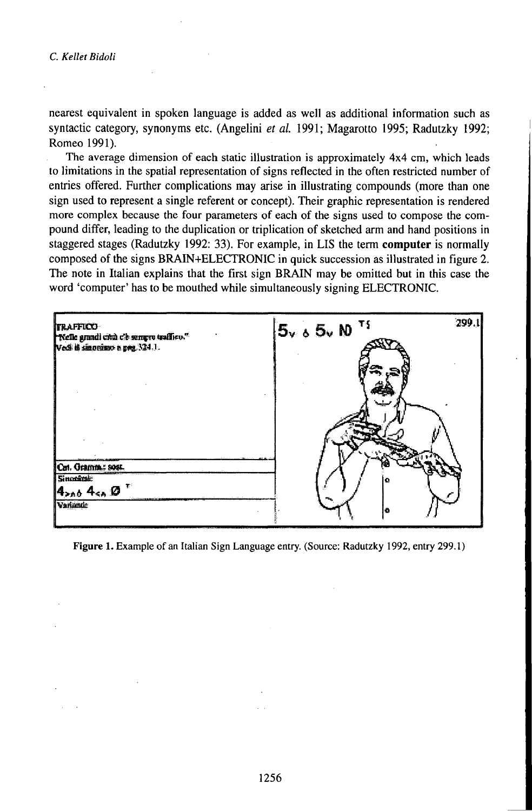nearest equivalent in spoken language is added as well as additional information such as syntactic category, synonyms etc. (Angelini et al. 1991; Magarotto 1995; Radutzky 1992; Romeo 1991).

The average dimension of each static illustration is approximately 4x4 cm, which leads to limitations in the spatial representation of signs reflected in the often restricted number of entries offered. Further complications may arise in illustrating compounds (more than one sign used to represent a single referent or concept). Their graphic representation is rendered more complex because the four parameters of each of the signs used to compose the compound differ, leading to the duplication or triplication of sketched arm and hand positions in staggered stages (Radutzky 1992: 33). For example, in LIS the term computer is normally composed of the signs BRAIN+ELECTRONIC in quick succession as illustrated in figure 2. The note in Italian explains that the first sign BRAIN may be omitted but in this case the word 'computer' has to be mouthed while simultaneously signing ELECTRONIC.

| TRAFFICO<br>Nelle grandi città c'è sempre traffico."<br>Vedi il sinonimo a pre 324.1. | $5v_6 5v_8$ <sup>Tf</sup> | 299.1 |
|---------------------------------------------------------------------------------------|---------------------------|-------|
|                                                                                       |                           |       |
|                                                                                       |                           |       |
| Cot. Gramm : sost.                                                                    |                           |       |
| Sinosenie                                                                             | ю                         |       |
| 14200 4ca 0                                                                           |                           |       |
| Variantic                                                                             | l B                       |       |

Figure 1. Example of an Italian Sign Language entry. (Source: Radutzky 1992, entry 299.1)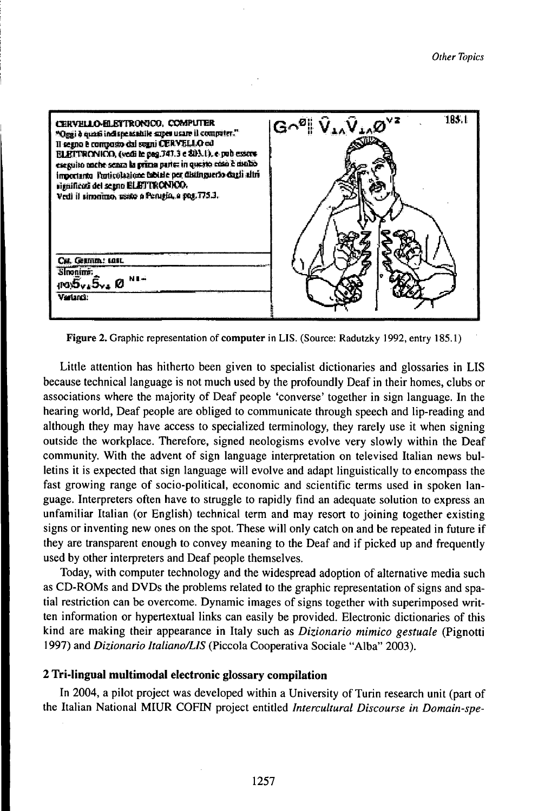

Figure 2. Graphic representation of computer in LIS. (Source: Radutzky 1992, entry 185.1)

Little attention has hitherto been given to specialist dictionaries and glossaries in LIS because technical language is not much used by the profoundly Deaf in their homes, clubs or associations where the majority of Deaf people 'converse' together in sign language. In the hearing world, Deaf people are obliged to communicate through speech and lip-reading and although they may have access to specialized terminology, they rarely use it when signing outside the workplace. Therefore, signed neologisms evolve very slowly within the Deaf community. With the advent of sign language interpretation on televised Italian news bulletins it is expected that sign language will evolve and adapt linguistically to encompass the fast growing range of socio-political, economic and scientific terms used in spoken language. Interpreters often have to struggle to rapidly find an adequate solution to express an unfamiliar Italian (or English) technical term and may resort to joining together existing signs or inventing new ones on the spot. These will only catch on and be repeated in future if they are transparent enough to convey meaning to the Deaf and if picked up and frequently used by other interpreters and Deaf people themselves.

Today, with computer technology and the widespread adoption of alternative media such as CD-ROMs and DVDs the problems related to the graphic representation of signs and spatial restriction can be overcome. Dynamic images of signs together with superimposed written information or hypertextual links can easily be provided. Electronic dictionaries of this kind are making their appearance in Italy such as Dizionario mimico gestuale (Pignotti 1997) and Dizionario Italiano/LIS (Piccola Cooperativa Sociale "Alba" 2003).

# 2 Tri-lingual multimodal electronic glossary compilation

In 2004, a pilot project was developed within a University of Turin research unit (part of the Italian National MIUR COFIN project entitled Intercultural Discourse in Domain-spe-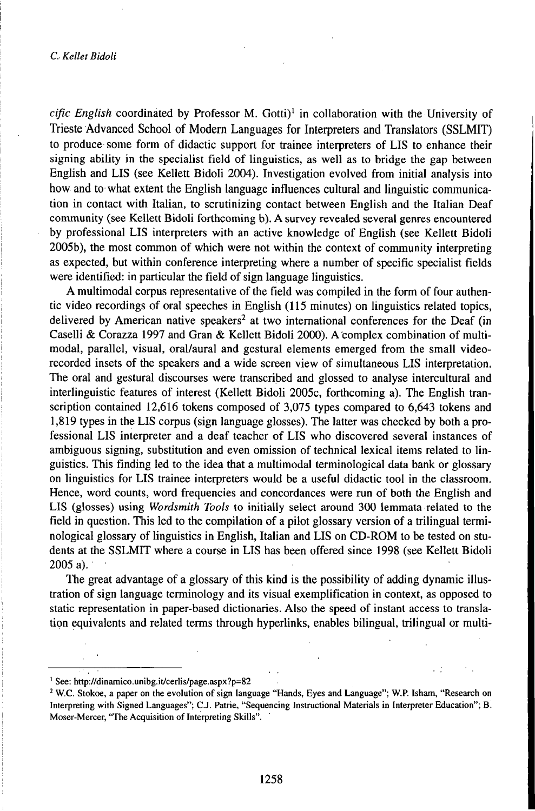## *C.KelletBidoli*

cific English coordinated by Professor M. Gotti)<sup>1</sup> in collaboration with the University of Trieste Advanced School of Modern Languages for Interpreters and Translators (SSLMIT) to produce some form of didactic support for trainee interpreters of LIS to enhance their signing ability in the specialist field of linguistics, as well as to bridge the gap between English and LIS (see Kellett Bidoli 2004). Investigation evolved from initial analysis into how and to what extent the English language influences cultural and linguistic communication in contact with Italian, to scrutinizing contact between English and the Italian Deaf community (see Kellett Bidoli forthcoming b). A survey revealed several genres encountered by professional LIS interpreters with an active knowledge of English (see Kellett Bidoli 2005b), the most common of which were not within the context of community interpreting as expected, but within conference interpreting where a number of specific specialist fields were identified: in particular the field of sign language linguistics.

A multimodal corpus representative of the field was compiled in the form of four authentic video recordings of oral speeches in English (115 minutes) on linguistics related topics, delivered by American native speakers<sup>2</sup> at two international conferences for the Deaf (in Caselli & Corazza 1997 and Gran & Kellett Bidoli 2000). A complex combination of multimodal, parallel, visual, oral/aural and gestural elements emerged from the small videorecorded insets of the speakers and a wide screen view of simultaneous LIS interpretation. The oral and gestural discourses were transcribed and glossed to analyse intercultural and interlinguistic features of interest (Kellett Bidoli 2005c, forthcoming a). The English transcription contained 12,616 tokens composed of 3,075 types compared to 6,643 tokens and 1,819 types in the LIS corpus (sign language glosses). The latter was checked by both a professional LIS interpreter and a deaf teacher of LIS who discovered several instances of ambiguous signing, substitution and even omission of technical lexical items related to linguistics. This finding led to the idea that a multimodal terminological data bank or glossary on linguistics for LIS trainee interpreters would be a useful didactic tool in the classroom. Hence, word counts, word frequencies and concordances were run of both the English and LIS (glosses) using *Wordsmith Tools* to initially select around 300 lemmata related to the field in question. This led to the compilation of a pilot glossary version of a trilingual terminological glossary of linguistics in English, Italian and LIS on CD-ROM to be tested on students at the SSLMIT where a course in LIS has been offered since 1998 (see Kellett Bidoli 2005a).

The great advantage of a glossary of this kind is the possibility of adding dynamic illustration of sign language terminology and its visual exemplification in context, as opposed to static representation in paper-based dictionaries. Also the speed of instant access to translation equivalents and related terms through hyperlinks, enables bilingual, trilingual or multi-

<sup>1</sup> See: http://dinamico.unibg.it/cerlis/page.aspx?p=82

<sup>2</sup> W.C. Stokoe, a paper on the evolution of sign language "Hands, Eyes and Language"; W.P. Isham, "Research on Interpreting with Signed Languages"; C.J. Patrie, "Sequencing Instructional Materials in Interpreter Education"; B. Moser-Mercer, "The Acquisition of Interpreting Skills".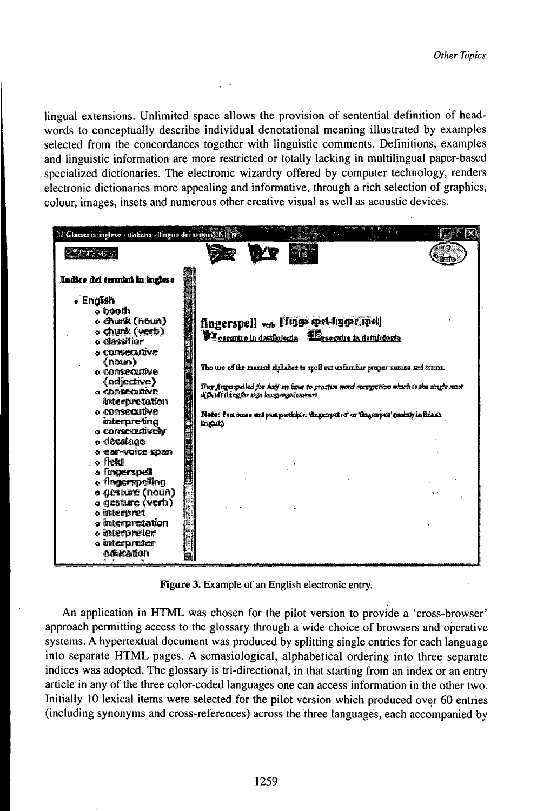lingual extensions. Unlimited space allows the provision of sentential definition of headwords to conceptually describe individual denotational meaning illustrated by examples selected from the concordances together with linguistic comments. Definitions, examples and linguistic information are more restricted or totally lacking in multilingual paper-based specialized dictionaries. The electronic wizardry offered by computer technology, renders electronic dictionaries more appealing and informative, through a rich selection of graphics, colour, images, insets and numerous other creative visual as well as acoustic devices.

 $\epsilon = 1$ 

| 290.74.<br>Indice del termini in inglese<br>+ English<br>a booth a<br>o churk (noun)<br>fingerspell on l'inne welnung met<br>o chunk (verb)<br><b>EX</b> osserving in destinated a Experience in detribution<br>o classilier<br>o consecutive<br>(0000)<br>The use of the manual analabet to spell out unfamiliar proper names and trums.<br>o consecutive<br>(adjective)<br>They freguencied for half an linur to practice word recognition which is the strate nost<br>o consecutive<br>A photostacker algo local responses<br>interpretation<br>o consecutive<br>Note: Past oman and past participts. the george for "deagempail' (eximity in British |
|----------------------------------------------------------------------------------------------------------------------------------------------------------------------------------------------------------------------------------------------------------------------------------------------------------------------------------------------------------------------------------------------------------------------------------------------------------------------------------------------------------------------------------------------------------------------------------------------------------------------------------------------------------|
|                                                                                                                                                                                                                                                                                                                                                                                                                                                                                                                                                                                                                                                          |
| interpreting<br>l'infaits<br>a consecutively<br>o decatogo o<br>a ear-vuice span<br>o fiekti<br>s finaerspell<br>e fingerspelling<br>o gesture (noun)<br>o gesture (verb)<br>o interpret<br>a interpretation<br>o interpreter<br>a interpreter                                                                                                                                                                                                                                                                                                                                                                                                           |

Figure 3. Example of an English electronic entry.

An application in HTML was chosen for the pilot version to provide a 'cross-browser' approach permitting access to the glossary through a wide choice of browsers and operative systems. A hypertextual document was produced by splitting single entries for each language into separate HTML pages. A semasiological, alphabetical ordering into three separate indices was adopted. The glossary is tri-directional, in that starting from an index or an entry article in any of the three color-coded languages one can access information in the other two. Initially 10 lexical items were selected for the pilot version which produced over 60 entries (including synonyms and cross-references) across the three languages, each accompanied by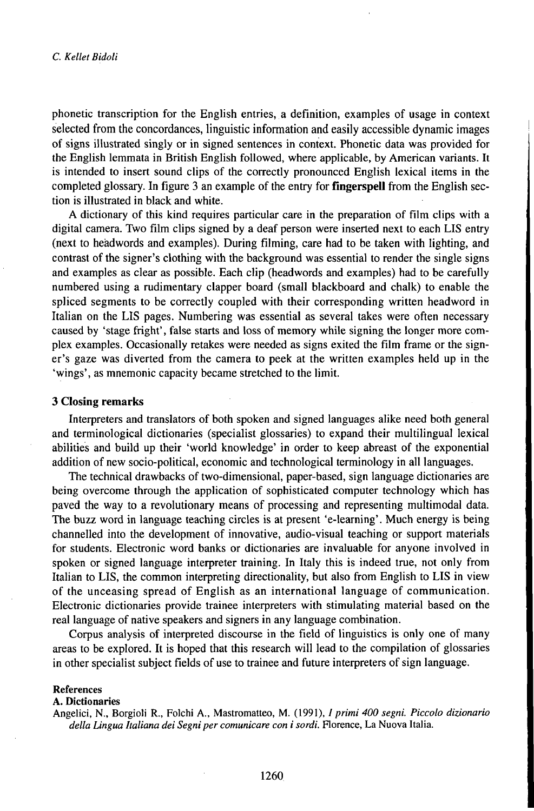phonetic transcription for the English entries, a definition, examples of usage in context selected from the concordances, linguistic information and easily accessible dynamic images of signs illustrated singly or in signed sentences in context. Phonetic data was provided for the English lemmata in British English followed, where applicable, by American variants. It is intended to insert sound clips of the correctly pronounced English lexical items in the completed glossary. In figure 3 an example of the entry for **fingerspell** from the English section is illustrated in black and white.

A dictionary of this kind requires particular care in the preparation of film clips with a digital camera. Two film clips signed by a deaf person were inserted next to each LIS entry (next to headwords and examples). During filming, care had to be taken with lighting, and contrast of the signer's clothing with the background was essential to render the single signs and examples as clear as possible. Each clip (headwords and examples) had to be carefully numbered using a rudimentary clapper board (small blackboard and chalk) to enable the spliced segments to be correctly coupled with their corresponding written headword in Italian on the LIS pages. Numbering was essential as several takes were often necessary caused by 'stage fright', false starts and loss of memory while signing the longer more complex examples. Occasionally retakes were needed as signs exited the film frame or the signer's gaze was diverted from the camera to peek at the written examples held up in the 'wings', as mnemonic capacity became stretched to the limit.

# **3 Closing remarks**

Interpreters and translators of both spoken and signed languages alike need both general and terminological dictionaries (specialist glossaries) to expand their multilingual lexical abilities and build up their 'world knowledge' in order to keep abreast of the exponential addition of new socio-political, economic and technological terminology in all languages.

The technical drawbacks oftwo-dimensional, paper-based, sign language dictionaries are being overcome through the application of sophisticated computer technology which has paved the way to a revolutionary means of processing and representing multimodal data. The buzz word in language teaching circles is at present 'e-learning'. Much energy is being channelled into the development of innovative, audio-visual teaching or support materials for students. Electronic word banks or dictionaries are invaluable for anyone involved in spoken or signed language interpreter training. In Italy this is indeed true, not only from Italian to LIS, the common interpreting directionality, but also from English to LIS in view of the unceasing spread of English as an international language of communication. Electronic dictionaries provide trainee interpreters with stimulating material based on the real language of native speakers and signers in any language combination.

Corpus analysis of interpreted discourse in the field of linguistics is only one of many areas to be explored. It is hoped that this research will lead to the compilation of glossaries in other specialist subject fields of use to trainee and future interpreters of sign language.

#### References

## A. Dictionaries

Angelici, N., Borgioli R., Folchi A., Mastromatteo, M. (1991), *¡primi 400 segni. Piccolo dizionario della Lingua Italiana dei Segniper comunicare con i sordi.* Florence, La Nuova Italia.